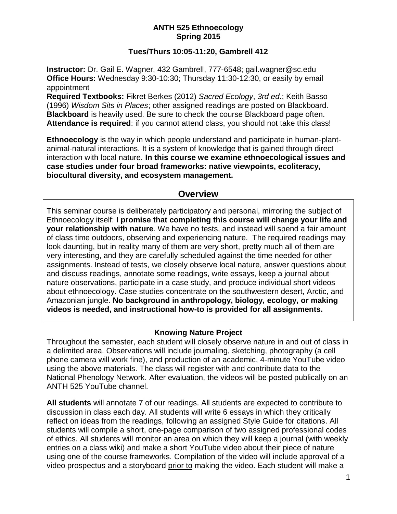#### **ANTH 525 Ethnoecology Spring 2015**

#### **Tues/Thurs 10:05-11:20, Gambrell 412**

**Instructor:** Dr. Gail E. Wagner, 432 Gambrell, 777-6548; gail.wagner@sc.edu **Office Hours:** Wednesday 9:30-10:30; Thursday 11:30-12:30, or easily by email appointment

**Required Textbooks:** Fikret Berkes (2012) *Sacred Ecology*, *3rd ed*.; Keith Basso (1996) *Wisdom Sits in Places*; other assigned readings are posted on Blackboard. **Blackboard** is heavily used. Be sure to check the course Blackboard page often. **Attendance is required**: if you cannot attend class, you should not take this class!

**Ethnoecology** is the way in which people understand and participate in human-plantanimal-natural interactions. It is a system of knowledge that is gained through direct interaction with local nature. **In this course we examine ethnoecological issues and case studies under four broad frameworks: native viewpoints, ecoliteracy, biocultural diversity, and ecosystem management.**

## **Overview**

This seminar course is deliberately participatory and personal, mirroring the subject of Ethnoecology itself: **I promise that completing this course will change your life and your relationship with nature**. We have no tests, and instead will spend a fair amount of class time outdoors, observing and experiencing nature. The required readings may look daunting, but in reality many of them are very short, pretty much all of them are very interesting, and they are carefully scheduled against the time needed for other assignments. Instead of tests, we closely observe local nature, answer questions about and discuss readings, annotate some readings, write essays, keep a journal about nature observations, participate in a case study, and produce individual short videos about ethnoecology. Case studies concentrate on the southwestern desert, Arctic, and Amazonian jungle. **No background in anthropology, biology, ecology, or making videos is needed, and instructional how-to is provided for all assignments.**

### **Knowing Nature Project**

Throughout the semester, each student will closely observe nature in and out of class in a delimited area. Observations will include journaling, sketching, photography (a cell phone camera will work fine), and production of an academic, 4-minute YouTube video using the above materials. The class will register with and contribute data to the National Phenology Network. After evaluation, the videos will be posted publically on an ANTH 525 YouTube channel.

**All students** will annotate 7 of our readings. All students are expected to contribute to discussion in class each day. All students will write 6 essays in which they critically reflect on ideas from the readings, following an assigned Style Guide for citations. All students will compile a short, one-page comparison of two assigned professional codes of ethics. All students will monitor an area on which they will keep a journal (with weekly entries on a class wiki) and make a short YouTube video about their piece of nature using one of the course frameworks. Compilation of the video will include approval of a video prospectus and a storyboard prior to making the video. Each student will make a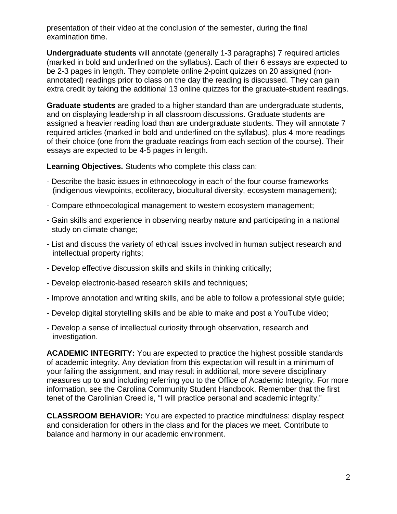presentation of their video at the conclusion of the semester, during the final examination time.

**Undergraduate students** will annotate (generally 1-3 paragraphs) 7 required articles (marked in bold and underlined on the syllabus). Each of their 6 essays are expected to be 2-3 pages in length. They complete online 2-point quizzes on 20 assigned (nonannotated) readings prior to class on the day the reading is discussed. They can gain extra credit by taking the additional 13 online quizzes for the graduate-student readings.

**Graduate students** are graded to a higher standard than are undergraduate students, and on displaying leadership in all classroom discussions. Graduate students are assigned a heavier reading load than are undergraduate students. They will annotate 7 required articles (marked in bold and underlined on the syllabus), plus 4 more readings of their choice (one from the graduate readings from each section of the course). Their essays are expected to be 4-5 pages in length.

#### **Learning Objectives.** Students who complete this class can:

- Describe the basic issues in ethnoecology in each of the four course frameworks (indigenous viewpoints, ecoliteracy, biocultural diversity, ecosystem management);
- Compare ethnoecological management to western ecosystem management;
- Gain skills and experience in observing nearby nature and participating in a national study on climate change;
- List and discuss the variety of ethical issues involved in human subject research and intellectual property rights;
- Develop effective discussion skills and skills in thinking critically;
- Develop electronic-based research skills and techniques;
- Improve annotation and writing skills, and be able to follow a professional style guide;
- Develop digital storytelling skills and be able to make and post a YouTube video;
- Develop a sense of intellectual curiosity through observation, research and investigation.

**ACADEMIC INTEGRITY:** You are expected to practice the highest possible standards of academic integrity. Any deviation from this expectation will result in a minimum of your failing the assignment, and may result in additional, more severe disciplinary measures up to and including referring you to the Office of Academic Integrity. For more information, see the Carolina Community Student Handbook. Remember that the first tenet of the Carolinian Creed is, "I will practice personal and academic integrity."

**CLASSROOM BEHAVIOR:** You are expected to practice mindfulness: display respect and consideration for others in the class and for the places we meet. Contribute to balance and harmony in our academic environment.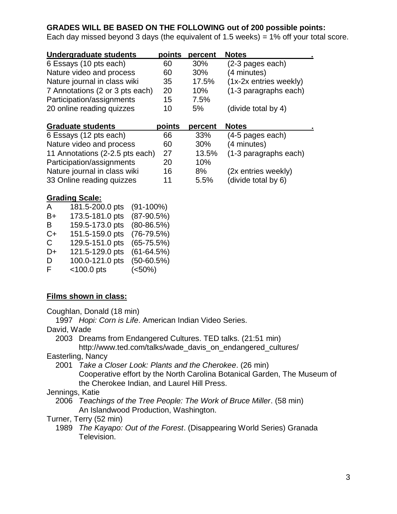### **GRADES WILL BE BASED ON THE FOLLOWING out of 200 possible points:**

Each day missed beyond 3 days (the equivalent of 1.5 weeks) =  $1\%$  off your total score.

| Undergraduate students          | points | percent    | <b>Notes</b>           |
|---------------------------------|--------|------------|------------------------|
| 6 Essays (10 pts each)          | 60     | <b>30%</b> | (2-3 pages each)       |
| Nature video and process        | 60     | $30\%$     | (4 minutes)            |
| Nature journal in class wiki    | 35     | 17.5%      | (1x-2x entries weekly) |
| 7 Annotations (2 or 3 pts each) | 20     | 10%        | (1-3 paragraphs each)  |
| Participation/assignments       | 15     | 7.5%       |                        |
| 20 online reading quizzes       | 10     | $5\%$      | (divide total by 4)    |
|                                 |        |            |                        |

| <b>Graduate students</b>        | points | percent | <b>Notes</b>          |  |
|---------------------------------|--------|---------|-----------------------|--|
| 6 Essays (12 pts each)          | 66     | 33%     | (4-5 pages each)      |  |
| Nature video and process        | 60     | 30%     | (4 minutes)           |  |
| 11 Annotations (2-2.5 pts each) | 27     | 13.5%   | (1-3 paragraphs each) |  |
| Participation/assignments       | 20     | 10%     |                       |  |
| Nature journal in class wiki    | 16     | 8%      | (2x entries weekly)   |  |
| 33 Online reading quizzes       | 11     | 5.5%    | (divide total by 6)   |  |

#### **Grading Scale:**

| A  | 181.5-200.0 pts | $(91-100\%)$   |
|----|-----------------|----------------|
| B+ | 173.5-181.0 pts | $(87-90.5%)$   |
| B  | 159.5-173.0 pts | $(80 - 86.5%)$ |
| C+ | 151.5-159.0 pts | $(76-79.5%)$   |
| C. | 129.5-151.0 pts | $(65-75.5%)$   |
| D+ | 121.5-129.0 pts | $(61 - 64.5%)$ |
| D  | 100.0-121.0 pts | $(50-60.5%)$   |
| F. | $<$ 100.0 pts   | (<50%)         |
|    |                 |                |

### **Films shown in class:**

Coughlan, Donald (18 min)

1997 *Hopi: Corn is Life*. American Indian Video Series.

David, Wade

2003 Dreams from Endangered Cultures. TED talks. (21:51 min)

http://www.ted.com/talks/wade\_davis\_on\_endangered\_cultures/

Easterling, Nancy

- 2001 *Take a Closer Look: Plants and the Cherokee*. (26 min) Cooperative effort by the North Carolina Botanical Garden, The Museum of the Cherokee Indian, and Laurel Hill Press.
- Jennings, Katie

2006 *Teachings of the Tree People: The Work of Bruce Miller*. (58 min) An Islandwood Production, Washington.

Turner, Terry (52 min)

1989 *The Kayapo: Out of the Forest*. (Disappearing World Series) Granada Television.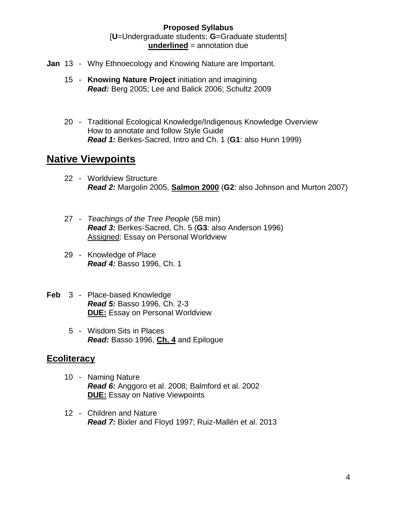#### **Proposed Syllabus** [**U**=Undergraduate students; **G**=Graduate students] **underlined** = annotation due

- **Jan** 13 Why Ethnoecology and Knowing Nature are Important.
	- 15 **Knowing Nature Project** initiation and imagining *Read:* Berg 2005; Lee and Balick 2006; Schultz 2009
	- 20 Traditional Ecological Knowledge/Indigenous Knowledge Overview How to annotate and follow Style Guide *Read 1:* Berkes-Sacred, Intro and Ch. 1 (**G1**: also Hunn 1999)

# **Native Viewpoints**

- 22 Worldview Structure *Read 2:* Margolin 2005, **Salmon 2000** (**G2**: also Johnson and Murton 2007)
- 27 *Teachings of the Tree People* (58 min) *Read 3:* Berkes-Sacred, Ch. 5 (**G3**: also Anderson 1996) Assigned: Essay on Personal Worldview
- 29 Knowledge of Place *Read 4:* Basso 1996, Ch. 1
- **Feb** 3 Place-based Knowledge *Read 5:* Basso 1996, Ch. 2-3 **DUE:** Essay on Personal Worldview
	- 5 Wisdom Sits in Places *Read:* Basso 1996, **Ch. 4** and Epilogue

## **Ecoliteracy**

- 10 Naming Nature *Read 6:* Anggoro et al. 2008; Balmford et al. 2002 **DUE:** Essay on Native Viewpoints
- 12 Children and Nature *Read 7:* Bixler and Floyd 1997; Ruiz-Mallén et al. 2013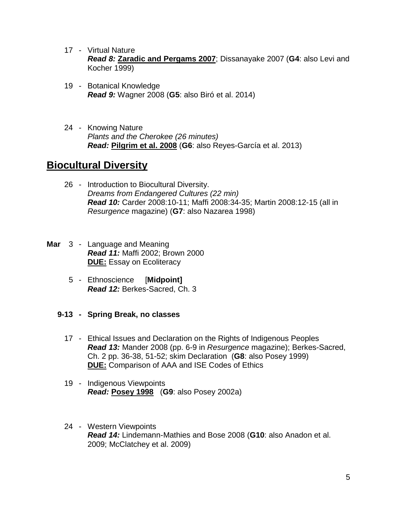- 17 Virtual Nature *Read 8:* **Zaradic and Pergams 2007**; Dissanayake 2007 (**G4**: also Levi and Kocher 1999)
- 19 Botanical Knowledge *Read 9:* Wagner 2008 (**G5**: also Biró et al. 2014)
- 24 Knowing Nature *Plants and the Cherokee (26 minutes) Read:* **Pilgrim et al. 2008** (**G6**: also Reyes-García et al. 2013)

# **Biocultural Diversity**

- 26 Introduction to Biocultural Diversity. *Dreams from Endangered Cultures (22 min) Read 10:* Carder 2008:10-11; Maffi 2008:34-35; Martin 2008:12-15 (all in *Resurgence* magazine) (**G7**: also Nazarea 1998)
- **Mar** 3 Language and Meaning *Read 11:* Maffi 2002; Brown 2000 **DUE:** Essay on Ecoliteracy
	- 5 Ethnoscience [**Midpoint]** *Read 12:* Berkes-Sacred, Ch. 3
	- **9-13 - Spring Break, no classes**
		- 17 Ethical Issues and Declaration on the Rights of Indigenous Peoples *Read 13:* Mander 2008 (pp. 6-9 in *Resurgence* magazine); Berkes-Sacred, Ch. 2 pp. 36-38, 51-52; skim Declaration (**G8**: also Posey 1999) **DUE:** Comparison of AAA and ISE Codes of Ethics
		- 19 Indigenous Viewpoints *Read:* **Posey 1998** (**G9**: also Posey 2002a)
		- 24 Western Viewpoints *Read 14:* Lindemann-Mathies and Bose 2008 (**G10**: also Anadon et al. 2009; McClatchey et al. 2009)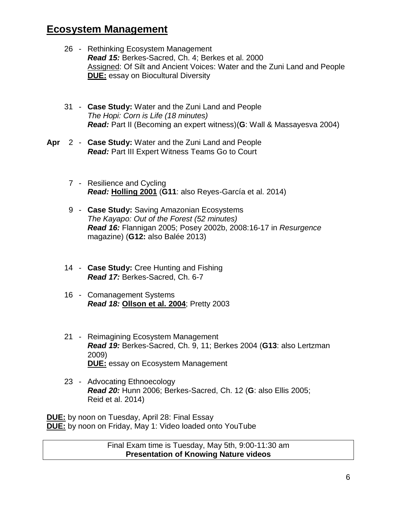# **Ecosystem Management**

- 26 Rethinking Ecosystem Management *Read 15:* Berkes-Sacred, Ch. 4; Berkes et al. 2000 Assigned: Of Silt and Ancient Voices: Water and the Zuni Land and People **DUE:** essay on Biocultural Diversity
- 31 **Case Study:** Water and the Zuni Land and People *The Hopi: Corn is Life (18 minutes) Read:* Part II (Becoming an expert witness)(**G**: Wall & Massayesva 2004)
- **Apr** 2 **Case Study:** Water and the Zuni Land and People *Read:* Part III Expert Witness Teams Go to Court
	- 7 Resilience and Cycling *Read:* **Holling 2001** (**G11**: also Reyes-García et al. 2014)
	- 9 **Case Study:** Saving Amazonian Ecosystems *The Kayapo: Out of the Forest (52 minutes) Read 16:* Flannigan 2005; Posey 2002b, 2008:16-17 in *Resurgence* magazine) (**G12:** also Balée 2013)
	- 14 **Case Study:** Cree Hunting and Fishing *Read 17:* Berkes-Sacred, Ch. 6-7
	- 16 Comanagement Systems *Read 18:* **Ollson et al. 2004**; Pretty 2003
	- 21 Reimagining Ecosystem Management *Read 19:* Berkes-Sacred, Ch. 9, 11; Berkes 2004 (**G13**: also Lertzman 2009) **DUE:** essay on Ecosystem Management
	- 23 Advocating Ethnoecology *Read 20:* Hunn 2006; Berkes-Sacred, Ch. 12 (**G**: also Ellis 2005; Reid et al. 2014)

**DUE:** by noon on Tuesday, April 28: Final Essay **DUE:** by noon on Friday, May 1: Video loaded onto YouTube

> Final Exam time is Tuesday, May 5th, 9:00-11:30 am **Presentation of Knowing Nature videos**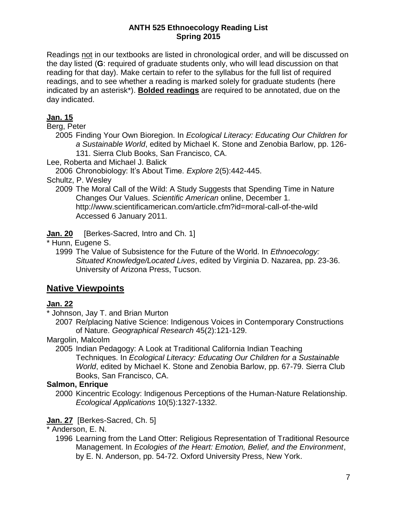#### **ANTH 525 Ethnoecology Reading List Spring 2015**

Readings not in our textbooks are listed in chronological order, and will be discussed on the day listed (**G**: required of graduate students only, who will lead discussion on that reading for that day). Make certain to refer to the syllabus for the full list of required readings, and to see whether a reading is marked solely for graduate students (here indicated by an asterisk\*). **Bolded readings** are required to be annotated, due on the day indicated.

### **Jan. 15**

Berg, Peter

- 2005 Finding Your Own Bioregion. In *Ecological Literacy: Educating Our Children for a Sustainable World*, edited by Michael K. Stone and Zenobia Barlow, pp. 126- 131. Sierra Club Books, San Francisco, CA.
- Lee, Roberta and Michael J. Balick
	- 2006 Chronobiology: It's About Time. *Explore* 2(5):442-445.
- Schultz, P. Wesley
	- 2009 The Moral Call of the Wild: A Study Suggests that Spending Time in Nature Changes Our Values. *Scientific American* online, December 1. http://www.scientificamerican.com/article.cfm?id=moral-call-of-the-wild Accessed 6 January 2011.
- **Jan. 20** [Berkes-Sacred, Intro and Ch. 1]
- \* Hunn, Eugene S.
	- 1999 The Value of Subsistence for the Future of the World. In *Ethnoecology: Situated Knowledge/Located Lives*, edited by Virginia D. Nazarea, pp. 23-36. University of Arizona Press, Tucson.

# **Native Viewpoints**

### **Jan. 22**

\* Johnson, Jay T. and Brian Murton

2007 Re/placing Native Science: Indigenous Voices in Contemporary Constructions of Nature. *Geographical Research* 45(2):121-129.

#### Margolin, Malcolm

2005 Indian Pedagogy: A Look at Traditional California Indian Teaching Techniques. In *Ecological Literacy: Educating Our Children for a Sustainable World*, edited by Michael K. Stone and Zenobia Barlow, pp. 67-79. Sierra Club Books, San Francisco, CA.

### **Salmon, Enrique**

2000 Kincentric Ecology: Indigenous Perceptions of the Human-Nature Relationship. *Ecological Applications* 10(5):1327-1332.

## **Jan. 27** [Berkes-Sacred, Ch. 5]

### \* Anderson, E. N.

1996 Learning from the Land Otter: Religious Representation of Traditional Resource Management. In *Ecologies of the Heart: Emotion, Belief, and the Environment*, by E. N. Anderson, pp. 54-72. Oxford University Press, New York.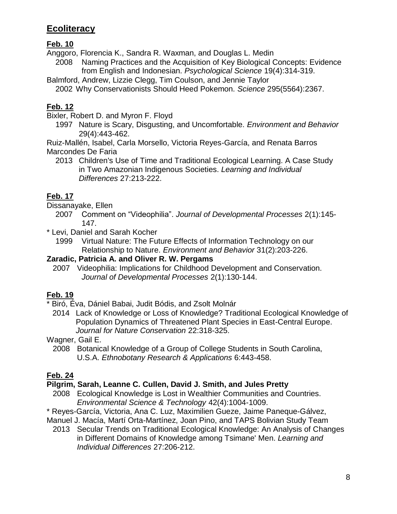# **Ecoliteracy**

## **Feb. 10**

Anggoro, Florencia K., Sandra R. Waxman, and Douglas L. Medin

2008 Naming Practices and the Acquisition of Key Biological Concepts: Evidence from English and Indonesian. *Psychological Science* 19(4):314-319.

Balmford, Andrew, Lizzie Clegg, Tim Coulson, and Jennie Taylor 2002 Why Conservationists Should Heed Pokemon. *Science* 295(5564):2367.

# **Feb. 12**

Bixler, Robert D. and Myron F. Floyd

1997 Nature is Scary, Disgusting, and Uncomfortable. *Environment and Behavior* 29(4):443-462.

Ruiz-Mallén, Isabel, Carla Morsello, Victoria Reyes-García, and Renata Barros Marcondes De Faria

2013 Children's Use of Time and Traditional Ecological Learning. A Case Study in Two Amazonian Indigenous Societies. *Learning and Individual Differences* 27:213-222.

# **Feb. 17**

Dissanayake, Ellen

- 2007 Comment on "Videophilia". *Journal of Developmental Processes* 2(1):145- 147.
- \* Levi, Daniel and Sarah Kocher

1999 Virtual Nature: The Future Effects of Information Technology on our Relationship to Nature. *Environment and Behavior* 31(2):203-226.

### **Zaradic, Patricia A. and Oliver R. W. Pergams**

2007 Videophilia: Implications for Childhood Development and Conservation. *Journal of Developmental Processes* 2(1):130-144.

# **Feb. 19**

\* Biró, Éva, Dániel Babai, Judit Bódis, and Zsolt Molnár

2014 Lack of Knowledge or Loss of Knowledge? Traditional Ecological Knowledge of Population Dynamics of Threatened Plant Species in East-Central Europe. *Journal for Nature Conservation* 22:318-325.

Wagner, Gail E.

2008 Botanical Knowledge of a Group of College Students in South Carolina, U.S.A. *Ethnobotany Research & Applications* 6:443-458.

# **Feb. 24**

## **Pilgrim, Sarah, Leanne C. Cullen, David J. Smith, and Jules Pretty**

- 2008 Ecological Knowledge is Lost in Wealthier Communities and Countries. *Environmental Science & Technology* 42(4):1004-1009.
- \* Reyes-García, Victoria, Ana C. Luz, Maximilien Gueze, Jaime Paneque-Gálvez,
- Manuel J. Macía, Martí Orta-Martínez, Joan Pino, and TAPS Bolivian Study Team
	- 2013 Secular Trends on Traditional Ecological Knowledge: An Analysis of Changes in Different Domains of Knowledge among Tsimane' Men. *Learning and Individual Differences* 27:206-212.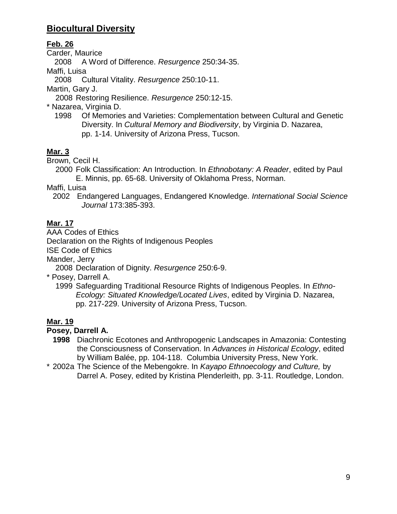# **Biocultural Diversity**

### **Feb. 26**

Carder, Maurice

2008 A Word of Difference. *Resurgence* 250:34-35.

Maffi, Luisa

2008 Cultural Vitality. *Resurgence* 250:10-11.

Martin, Gary J.

- 2008 Restoring Resilience. *Resurgence* 250:12-15.
- \* Nazarea, Virginia D.
	- 1998 Of Memories and Varieties: Complementation between Cultural and Genetic Diversity. In *Cultural Memory and Biodiversity*, by Virginia D. Nazarea, pp. 1-14. University of Arizona Press, Tucson.

# **Mar. 3**

Brown, Cecil H.

2000 Folk Classification: An Introduction. In *Ethnobotany: A Reader*, edited by Paul E. Minnis, pp. 65-68. University of Oklahoma Press, Norman.

Maffi, Luisa

2002 Endangered Languages, Endangered Knowledge. *International Social Science Journal* 173:385-393.

## **Mar. 17**

AAA Codes of Ethics

Declaration on the Rights of Indigenous Peoples

ISE Code of Ethics

Mander, Jerry

2008 Declaration of Dignity. *Resurgence* 250:6-9.

\* Posey, Darrell A.

1999 Safeguarding Traditional Resource Rights of Indigenous Peoples. In *Ethno-Ecology: Situated Knowledge/Located Lives*, edited by Virginia D. Nazarea, pp. 217-229. University of Arizona Press, Tucson.

# **Mar. 19**

## **Posey, Darrell A.**

**1998** Diachronic Ecotones and Anthropogenic Landscapes in Amazonia: Contesting the Consciousness of Conservation. In *Advances in Historical Ecology*, edited by William Balée, pp. 104-118. Columbia University Press, New York.

\* 2002a The Science of the Mebengokre. In *Kayapo Ethnoecology and Culture,* by Darrel A. Posey, edited by Kristina Plenderleith, pp. 3-11. Routledge, London.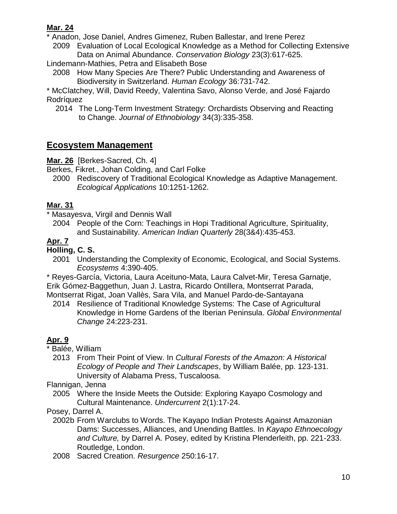### **Mar. 24**

\* Anadon, Jose Daniel, Andres Gimenez, Ruben Ballestar, and Irene Perez

2009 Evaluation of Local Ecological Knowledge as a Method for Collecting Extensive Data on Animal Abundance. *Conservation Biology* 23(3):617-625.

Lindemann-Mathies, Petra and Elisabeth Bose

2008 How Many Species Are There? Public Understanding and Awareness of Biodiversity in Switzerland. *Human Ecology* 36:731-742.

\* McClatchey, Will, David Reedy, Valentina Savo, Alonso Verde, and José Fajardo Rodríquez

2014 The Long-Term Investment Strategy: Orchardists Observing and Reacting to Change. *Journal of Ethnobiology* 34(3):335-358.

# **Ecosystem Management**

**Mar. 26** [Berkes-Sacred, Ch. 4]

Berkes, Fikret., Johan Colding, and Carl Folke

2000 Rediscovery of Traditional Ecological Knowledge as Adaptive Management. *Ecological Applications* 10:1251-1262.

### **Mar. 31**

\* Masayesva, Virgil and Dennis Wall

2004 People of the Corn: Teachings in Hopi Traditional Agriculture, Spirituality, and Sustainability. *American Indian Quarterly* 28(3&4):435-453.

## **Apr. 7**

## **Holling, C. S.**

2001 Understanding the Complexity of Economic, Ecological, and Social Systems. *Ecosystems* 4:390-405.

\* Reyes-García, Victoria, Laura Aceituno-Mata, Laura Calvet-Mir, Teresa Garnatje, Erik Gómez-Baggethun, Juan J. Lastra, Ricardo Ontillera, Montserrat Parada, Montserrat Rigat, Joan Vallès, Sara Vila, and Manuel Pardo-de-Santayana

2014 Resilience of Traditional Knowledge Systems: The Case of Agricultural Knowledge in Home Gardens of the Iberian Peninsula. *Global Environmental Change* 24:223-231.

# **Apr. 9**

Balée, William

2013 From Their Point of View. In *Cultural Forests of the Amazon: A Historical Ecology of People and Their Landscapes*, by William Balée, pp. 123-131. University of Alabama Press, Tuscaloosa.

Flannigan, Jenna

2005 Where the Inside Meets the Outside: Exploring Kayapo Cosmology and Cultural Maintenance. *Undercurrent* 2(1):17-24.

Posey, Darrel A.

- 2002b From Warclubs to Words. The Kayapo Indian Protests Against Amazonian Dams: Successes, Alliances, and Unending Battles. In *Kayapo Ethnoecology and Culture,* by Darrel A. Posey, edited by Kristina Plenderleith, pp. 221-233. Routledge, London.
- 2008 Sacred Creation. *Resurgence* 250:16-17.